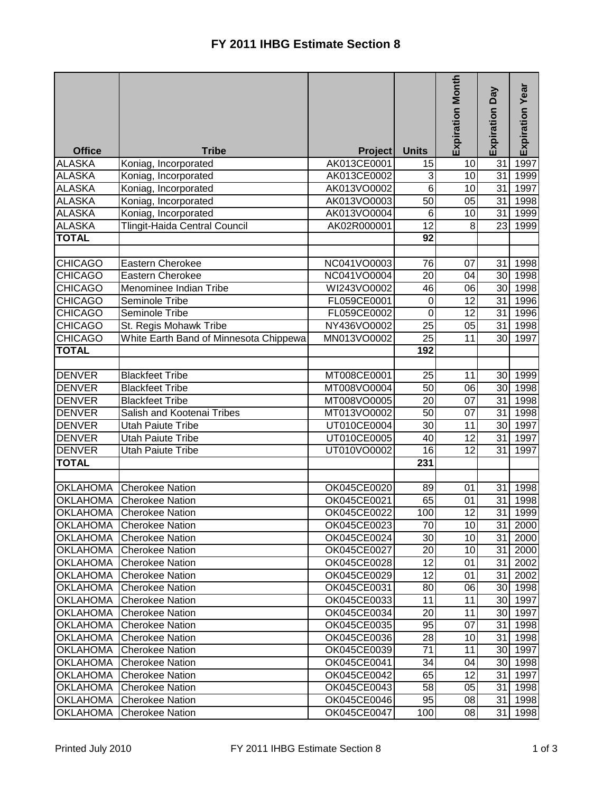|                 |                                        |                |                  | <b>Expiration Month</b> | Expiration Day  | Expiration Year      |
|-----------------|----------------------------------------|----------------|------------------|-------------------------|-----------------|----------------------|
| <b>Office</b>   | <b>Tribe</b>                           | <b>Project</b> | <b>Units</b>     |                         |                 |                      |
| <b>ALASKA</b>   | Koniag, Incorporated                   | AK013CE0001    | 15               | 10                      | 31              | 1997                 |
| <b>ALASKA</b>   | Koniag, Incorporated                   | AK013CE0002    | 3                | 10                      | 31              | 1999                 |
| <b>ALASKA</b>   | Koniag, Incorporated                   | AK013VO0002    | $6\phantom{1}$   | 10                      | 31              | 1997                 |
| <b>ALASKA</b>   | Koniag, Incorporated                   | AK013VO0003    | 50               | 05                      | 31              | 1998                 |
| <b>ALASKA</b>   | Koniag, Incorporated                   | AK013VO0004    | $6\phantom{1}6$  | 10                      | 31              | 1999                 |
| <b>ALASKA</b>   | Tlingit-Haida Central Council          | AK02R000001    | $\overline{12}$  | 8                       | 23              | 1999                 |
| <b>TOTAL</b>    |                                        |                | 92               |                         |                 |                      |
|                 |                                        |                |                  |                         |                 |                      |
| <b>CHICAGO</b>  | <b>Eastern Cherokee</b>                | NC041VO0003    | 76               | 07                      | 31              | 1998                 |
| <b>CHICAGO</b>  | Eastern Cherokee                       | NC041VO0004    | 20               | 04                      | 30              | 1998                 |
| <b>CHICAGO</b>  | Menominee Indian Tribe                 | WI243VO0002    | 46               | 06                      | 30              | 1998                 |
| <b>CHICAGO</b>  | Seminole Tribe                         | FL059CE0001    | $\boldsymbol{0}$ | 12                      | 31              | 1996                 |
| <b>CHICAGO</b>  | Seminole Tribe                         | FL059CE0002    | $\mathbf 0$      | $\overline{12}$         | 31              | 1996                 |
| <b>CHICAGO</b>  | St. Regis Mohawk Tribe                 | NY436VO0002    | 25               | 05                      | 31              | 1998                 |
| <b>CHICAGO</b>  | White Earth Band of Minnesota Chippewa | MN013VO0002    | $\overline{25}$  | 11                      | 30              | 1997                 |
| <b>TOTAL</b>    |                                        |                | 192              |                         |                 |                      |
| <b>DENVER</b>   | <b>Blackfeet Tribe</b>                 | MT008CE0001    | 25               | 11                      | 30 <sup>1</sup> | 1999                 |
| <b>DENVER</b>   | <b>Blackfeet Tribe</b>                 | MT008VO0004    | 50               | 06                      | 30 <sup>1</sup> | 1998                 |
| <b>DENVER</b>   | <b>Blackfeet Tribe</b>                 | MT008VO0005    | $\overline{20}$  | 07                      | 31              | 1998                 |
| <b>DENVER</b>   | Salish and Kootenai Tribes             | MT013VO0002    | 50               | 07                      | 31              | 1998                 |
| <b>DENVER</b>   | <b>Utah Paiute Tribe</b>               | UT010CE0004    | 30               | 11                      | 30              | 1997                 |
| <b>DENVER</b>   | <b>Utah Paiute Tribe</b>               | UT010CE0005    | 40               | 12                      | 31              | 1997                 |
| <b>DENVER</b>   | <b>Utah Paiute Tribe</b>               | UT010VO0002    | 16               | 12                      | 31              | 1997                 |
| <b>TOTAL</b>    |                                        |                | 231              |                         |                 |                      |
|                 |                                        |                |                  |                         |                 |                      |
| <b>OKLAHOMA</b> | <b>Cherokee Nation</b>                 | OK045CE0020    | 89               | 01                      | 31              | 1998                 |
| <b>OKLAHOMA</b> | <b>Cherokee Nation</b>                 | OK045CE0021    | 65               | 01                      | 31              | 1998                 |
| <b>OKLAHOMA</b> | <b>Cherokee Nation</b>                 | OK045CE0022    | 100              | 12                      | 31              | 1999                 |
|                 | <b>OKLAHOMA</b> Cherokee Nation        | OK045CE0023    | 70               | 10 <sub>1</sub>         |                 | 31 2000              |
| <b>OKLAHOMA</b> | <b>Cherokee Nation</b>                 | OK045CE0024    | 30               | 10                      |                 | 31 2000              |
| <b>OKLAHOMA</b> | <b>Cherokee Nation</b>                 | OK045CE0027    | 20               | 10                      |                 | 31 2000              |
| <b>OKLAHOMA</b> | <b>Cherokee Nation</b>                 | OK045CE0028    | 12               | 01                      |                 | 31 2002              |
| <b>OKLAHOMA</b> | <b>Cherokee Nation</b>                 | OK045CE0029    | $\overline{12}$  | 01                      |                 | 31 2002              |
| <b>OKLAHOMA</b> | <b>Cherokee Nation</b>                 | OK045CE0031    | 80               | 06                      |                 | 30 1998              |
| <b>OKLAHOMA</b> | <b>Cherokee Nation</b>                 | OK045CE0033    | 11               | 11                      |                 | 30 1997              |
| <b>OKLAHOMA</b> | <b>Cherokee Nation</b>                 | OK045CE0034    | 20               | 11                      |                 | 30 1997              |
| <b>OKLAHOMA</b> | <b>Cherokee Nation</b>                 | OK045CE0035    | 95               | 07                      |                 | $\overline{31}$ 1998 |
| <b>OKLAHOMA</b> | <b>Cherokee Nation</b>                 | OK045CE0036    | 28               | 10                      |                 | 31 1998              |
| <b>OKLAHOMA</b> | <b>Cherokee Nation</b>                 | OK045CE0039    | 71               | 11                      |                 | 30 1997              |
| <b>OKLAHOMA</b> | Cherokee Nation                        | OK045CE0041    | 34               | 04                      |                 | 30 1998              |
| <b>OKLAHOMA</b> | <b>Cherokee Nation</b>                 | OK045CE0042    | 65               | 12                      |                 | 31 1997              |
| <b>OKLAHOMA</b> | <b>Cherokee Nation</b>                 | OK045CE0043    | 58               | 05                      |                 | 31 1998              |
| <b>OKLAHOMA</b> | <b>Cherokee Nation</b>                 | OK045CE0046    | 95               | 08                      | 31              | 1998                 |
| <b>OKLAHOMA</b> | <b>Cherokee Nation</b>                 | OK045CE0047    | 100              | 08                      | 31              | 1998                 |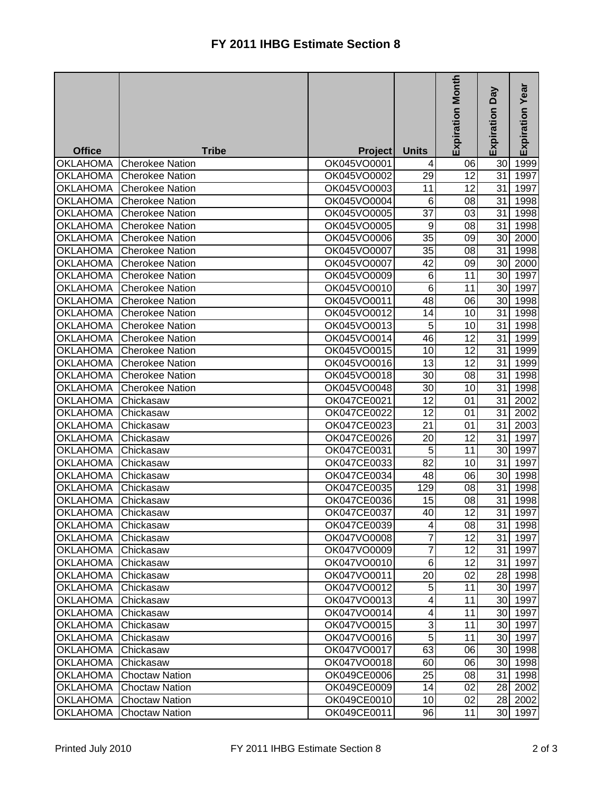|                    |                        |                |                 | Expiration Month | Veq<br>Expiration | Expiration Year |
|--------------------|------------------------|----------------|-----------------|------------------|-------------------|-----------------|
|                    |                        |                |                 |                  |                   |                 |
| <b>Office</b>      | <b>Tribe</b>           | <b>Project</b> | <b>Units</b>    |                  |                   |                 |
| <b>OKLAHOMA</b>    | <b>Cherokee Nation</b> | OK045VO0001    | 4               | 06               | 30                | 1999            |
| <b>OKLAHOMA</b>    | <b>Cherokee Nation</b> | OK045VO0002    | 29              | 12               | 31                | 1997            |
| <b>OKLAHOMA</b>    | <b>Cherokee Nation</b> | OK045VO0003    | 11              | 12               | 31                | 1997            |
| <b>OKLAHOMA</b>    | <b>Cherokee Nation</b> | OK045VO0004    | 6               | 08               | 31                | 1998            |
| <b>OKLAHOMA</b>    | <b>Cherokee Nation</b> | OK045VO0005    | 37              | 03               | 31                | 1998            |
| <b>OKLAHOMA</b>    | <b>Cherokee Nation</b> | OK045VO0005    | 9               | 08               | 31                | 1998            |
| <b>OKLAHOMA</b>    | <b>Cherokee Nation</b> | OK045VO0006    | 35              | 09               | 30                | 2000            |
| <b>OKLAHOMA</b>    | <b>Cherokee Nation</b> | OK045VO0007    | 35              | 08               | 31                | 1998            |
| <b>OKLAHOMA</b>    | <b>Cherokee Nation</b> | OK045VO0007    | $\overline{42}$ | 09               | 30                | 2000            |
| <b>OKLAHOMA</b>    | <b>Cherokee Nation</b> | OK045VO0009    | 6               | 11               | 30                | 1997            |
| <b>OKLAHOMA</b>    | <b>Cherokee Nation</b> | OK045VO0010    | 6               | 11               | 30                | 1997            |
| <b>OKLAHOMA</b>    | <b>Cherokee Nation</b> | OK045VO0011    | 48              | 06               | 30                | 1998            |
| <b>OKLAHOMA</b>    | <b>Cherokee Nation</b> | OK045VO0012    | 14              | 10               | 31                | 1998            |
| <b>OKLAHOMA</b>    | <b>Cherokee Nation</b> | OK045VO0013    | 5               | 10               | 31                | 1998            |
| <b>OKLAHOMA</b>    | Cherokee Nation        | OK045VO0014    | 46              | 12               | 31                | 1999            |
| <b>OKLAHOMA</b>    | <b>Cherokee Nation</b> | OK045VO0015    | 10              | 12               | 31                | 1999            |
| <b>OKLAHOMA</b>    | <b>Cherokee Nation</b> | OK045VO0016    | 13              | 12               | 31                | 1999            |
| <b>OKLAHOMA</b>    | <b>Cherokee Nation</b> | OK045VO0018    | 30              | 08               | 31                | 1998            |
| <b>OKLAHOMA</b>    | <b>Cherokee Nation</b> | OK045VO0048    | 30              | 10               | 31                | 1998            |
| <b>OKLAHOMA</b>    | Chickasaw              | OK047CE0021    | 12              | 01               | 31                | 2002            |
| <b>OKLAHOMA</b>    | Chickasaw              | OK047CE0022    | 12              | 01               | 31                | 2002            |
| <b>OKLAHOMA</b>    | Chickasaw              | OK047CE0023    | 21              | 01               | 31                | 2003            |
| <b>OKLAHOMA</b>    | Chickasaw              | OK047CE0026    | 20              | 12               | 31                | 1997            |
| <b>OKLAHOMA</b>    | Chickasaw              | OK047CE0031    | 5               | 11               | 30                | 1997            |
| <b>OKLAHOMA</b>    | Chickasaw              | OK047CE0033    | 82              | 10               | 31                | 1997            |
| <b>OKLAHOMA</b>    | Chickasaw              | OK047CE0034    | 48              | 06               | 30                | 1998            |
| <b>OKLAHOMA</b>    | Chickasaw              | OK047CE0035    | 129             | 08               | 31                | 1998            |
| <b>OKLAHOMA</b>    | Chickasaw              | OK047CE0036    | 15              | 08               | 31                | 1998            |
| <b>OKLAHOMA</b>    | Chickasaw              | OK047CE0037    | 40              | 12               | 31                | 1997            |
| OKLAHOMA Chickasaw |                        | OK047CE0039    | $\vert 4 \vert$ | 08               |                   | 31 1998         |
| <b>OKLAHOMA</b>    | Chickasaw              | OK047VO0008    | $\overline{7}$  | 12               | 31                | 1997            |
| <b>OKLAHOMA</b>    | Chickasaw              | OK047VO0009    | $\overline{7}$  | 12               | 31                | 1997            |
| <b>OKLAHOMA</b>    | Chickasaw              | OK047VO0010    | 6               | 12               | 31                | 1997            |
| <b>OKLAHOMA</b>    | Chickasaw              | OK047VO0011    | 20              | 02               |                   | 28 1998         |
| <b>OKLAHOMA</b>    | Chickasaw              | OK047VO0012    | 5               | 11               |                   | 30 1997         |
| <b>OKLAHOMA</b>    | Chickasaw              | OK047VO0013    | 4               | 11               |                   | 30 1997         |
| <b>OKLAHOMA</b>    | Chickasaw              | OK047VO0014    | 4               | 11               |                   | 30 1997         |
| <b>OKLAHOMA</b>    | Chickasaw              | OK047VO0015    | 3               | 11               |                   | 30 1997         |
| <b>OKLAHOMA</b>    | Chickasaw              | OK047VO0016    | 5               | 11               |                   | 30 1997         |
| <b>OKLAHOMA</b>    | Chickasaw              | OK047VO0017    | 63              | 06               |                   | 30 1998         |
| <b>OKLAHOMA</b>    | Chickasaw              | OK047VO0018    | 60              | 06               |                   | 30 1998         |
| <b>OKLAHOMA</b>    | <b>Choctaw Nation</b>  | OK049CE0006    | 25              | 08               | 31                | 1998            |
| <b>OKLAHOMA</b>    | <b>Choctaw Nation</b>  | OK049CE0009    | 14              | 02               | 28 I              | 2002            |
| <b>OKLAHOMA</b>    | <b>Choctaw Nation</b>  | OK049CE0010    | 10              | 02               | 28                | 2002            |
| <b>OKLAHOMA</b>    | <b>Choctaw Nation</b>  | OK049CE0011    | 96              | 11               | 30                | 1997            |